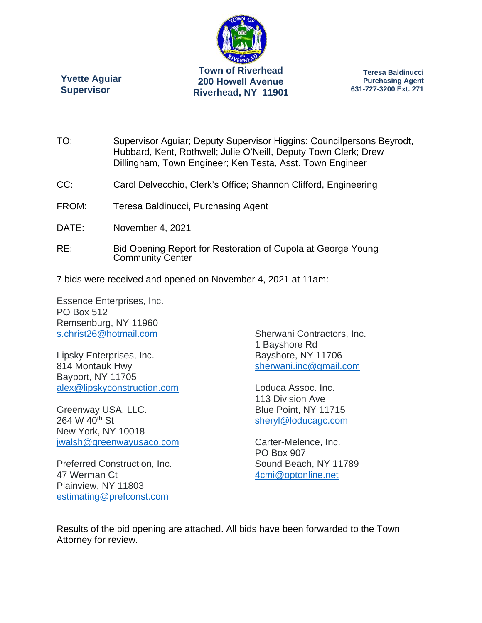

**Yvette Aguiar Supervisor** 

**Teresa Baldinucci Purchasing Agent 631-727-3200 Ext. 271** 

- TO: Supervisor Aguiar; Deputy Supervisor Higgins; Councilpersons Beyrodt, Hubbard, Kent, Rothwell; Julie O'Neill, Deputy Town Clerk; Drew Dillingham, Town Engineer; Ken Testa, Asst. Town Engineer
- CC: Carol Delvecchio, Clerk's Office; Shannon Clifford, Engineering
- FROM: Teresa Baldinucci, Purchasing Agent
- DATE: November 4, 2021
- RE: Bid Opening Report for Restoration of Cupola at George Young Community Center
- 7 bids were received and opened on November 4, 2021 at 11am:

Essence Enterprises, Inc. PO Box 512 Remsenburg, NY 11960 s.christ26@hotmail.com

Lipsky Enterprises, Inc. 814 Montauk Hwy Bayport, NY 11705 alex@lipskyconstruction.com

Greenway USA, LLC. 264 W 40<sup>th</sup> St New York, NY 10018 jwalsh@greenwayusaco.com

Preferred Construction, Inc. 47 Werman Ct Plainview, NY 11803 estimating@prefconst.com

Sherwani Contractors, Inc. 1 Bayshore Rd Bayshore, NY 11706 sherwani.inc@gmail.com

Loduca Assoc. Inc. 113 Division Ave Blue Point, NY 11715 sheryl@loducagc.com

Carter-Melence, Inc. PO Box 907 Sound Beach, NY 11789 4cmi@optonline.net

Results of the bid opening are attached. All bids have been forwarded to the Town Attorney for review.